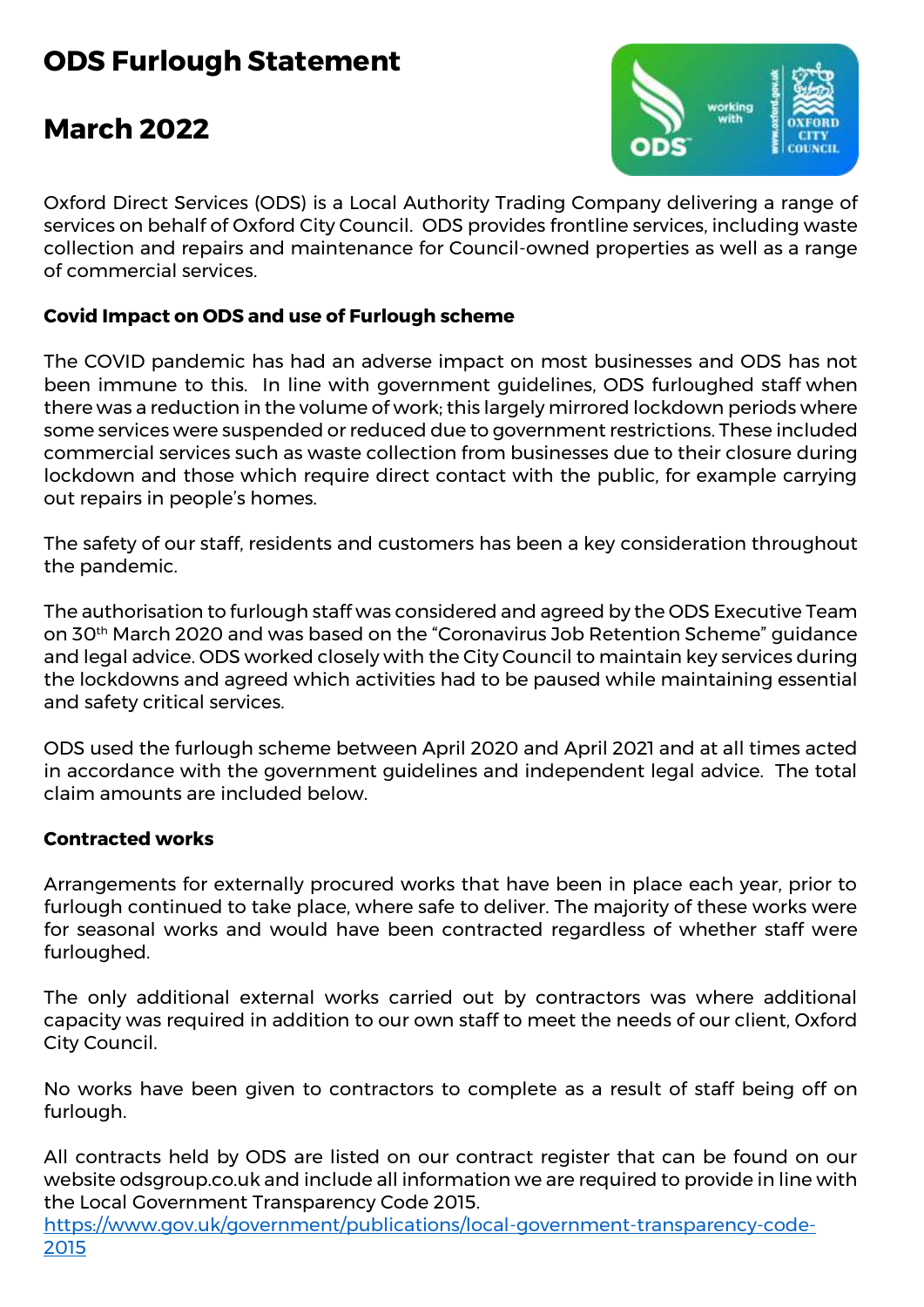# **ODS Furlough Statement**

## **March 2022**



Oxford Direct Services (ODS) is a Local Authority Trading Company delivering a range of services on behalf of Oxford City Council. ODS provides frontline services, including waste collection and repairs and maintenance for Council-owned properties as well as a range of commercial services.

### **Covid Impact on ODS and use of Furlough scheme**

The COVID pandemic has had an adverse impact on most businesses and ODS has not been immune to this. In line with government guidelines, ODS furloughed staff when there was a reduction in the volume of work; this largely mirrored lockdown periods where some services were suspended or reduced due to government restrictions. These included commercial services such as waste collection from businesses due to their closure during lockdown and those which require direct contact with the public, for example carrying out repairs in people's homes.

The safety of our staff, residents and customers has been a key consideration throughout the pandemic.

The authorisation to furlough staff was considered and agreed by the ODS Executive Team on 30th March 2020 and was based on the "Coronavirus Job Retention Scheme" guidance and legal advice. ODS worked closely with the City Council to maintain key services during the lockdowns and agreed which activities had to be paused while maintaining essential and safety critical services.

ODS used the furlough scheme between April 2020 and April 2021 and at all times acted in accordance with the government guidelines and independent legal advice. The total claim amounts are included below.

### **Contracted works**

Arrangements for externally procured works that have been in place each year, prior to furlough continued to take place, where safe to deliver. The majority of these works were for seasonal works and would have been contracted regardless of whether staff were furloughed.

The only additional external works carried out by contractors was where additional capacity was required in addition to our own staff to meet the needs of our client, Oxford City Council.

No works have been given to contractors to complete as a result of staff being off on furlough.

All contracts held by ODS are listed on our contract register that can be found on our website odsgroup.co.uk and include all information we are required to provide in line with the Local Government Transparency Code 2015.

[https://www.gov.uk/government/publications/local-government-transparency-code-](https://www.gov.uk/government/publications/local-government-transparency-code-2015)[2015](https://www.gov.uk/government/publications/local-government-transparency-code-2015)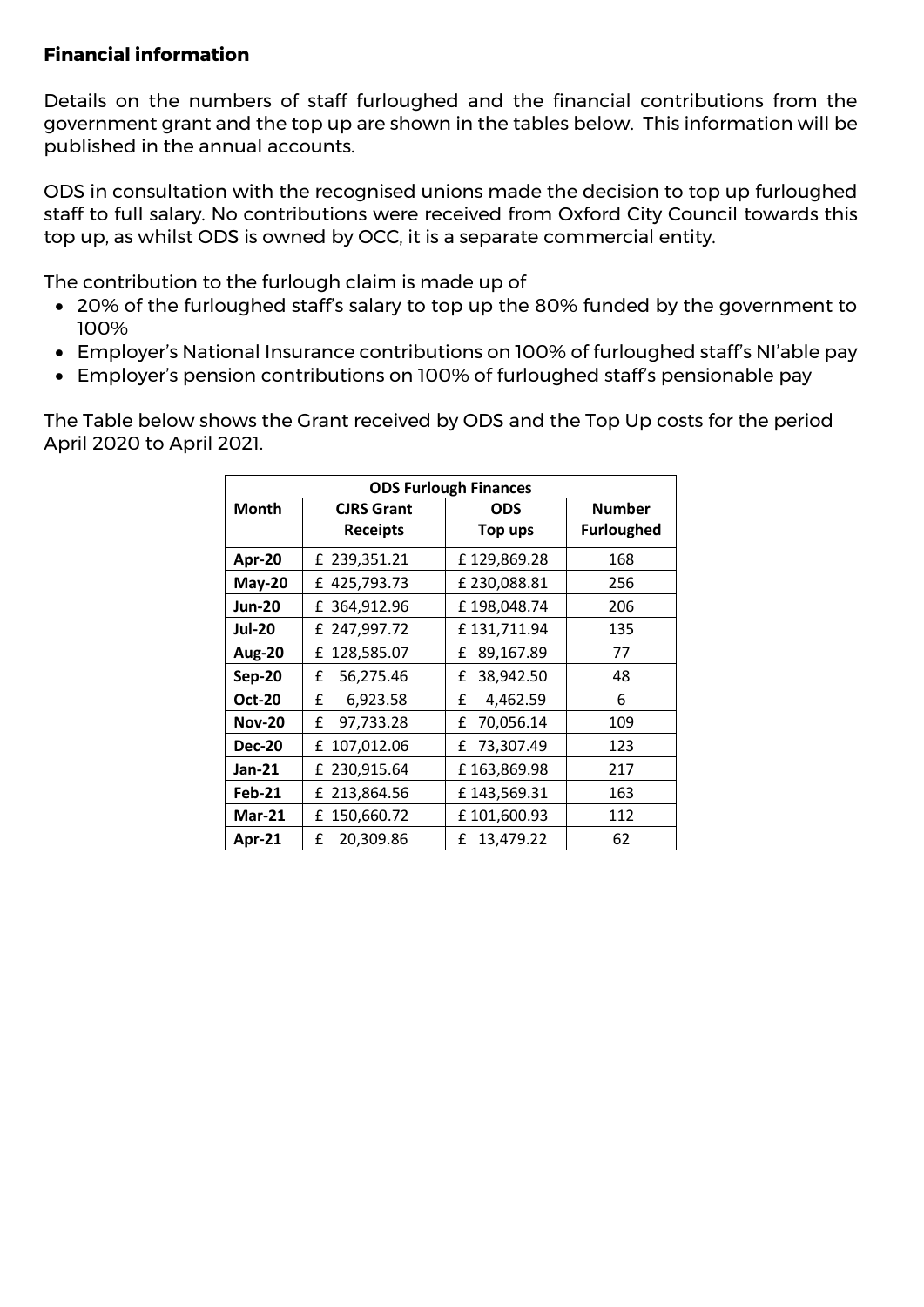#### **Financial information**

Details on the numbers of staff furloughed and the financial contributions from the government grant and the top up are shown in the tables below. This information will be published in the annual accounts.

ODS in consultation with the recognised unions made the decision to top up furloughed staff to full salary. No contributions were received from Oxford City Council towards this top up, as whilst ODS is owned by OCC, it is a separate commercial entity.

The contribution to the furlough claim is made up of

- 20% of the furloughed staff's salary to top up the 80% funded by the government to 100%
- Employer's National Insurance contributions on 100% of furloughed staff's NI'able pay
- Employer's pension contributions on 100% of furloughed staff's pensionable pay

The Table below shows the Grant received by ODS and the Top Up costs for the period April 2020 to April 2021.

| <b>ODS Furlough Finances</b> |                                      |                       |                                    |  |  |  |  |  |  |  |
|------------------------------|--------------------------------------|-----------------------|------------------------------------|--|--|--|--|--|--|--|
| <b>Month</b>                 | <b>CJRS Grant</b><br><b>Receipts</b> | <b>ODS</b><br>Top ups | <b>Number</b><br><b>Furloughed</b> |  |  |  |  |  |  |  |
|                              |                                      |                       |                                    |  |  |  |  |  |  |  |
| Apr-20                       | £ 239,351.21                         | £129,869.28           | 168                                |  |  |  |  |  |  |  |
| $May-20$                     | £425,793.73                          | £230,088.81           | 256                                |  |  |  |  |  |  |  |
| <b>Jun-20</b>                | £ 364,912.96                         | £198,048.74           | 206                                |  |  |  |  |  |  |  |
| <b>Jul-20</b>                | £ 247,997.72                         | £131,711.94           | 135                                |  |  |  |  |  |  |  |
| <b>Aug-20</b>                | 128,585.07<br>£                      | 89,167.89<br>£        | 77                                 |  |  |  |  |  |  |  |
| <b>Sep-20</b>                | 56,275.46<br>£                       | 38,942.50<br>£        | 48                                 |  |  |  |  |  |  |  |
| <b>Oct-20</b>                | 6,923.58<br>£                        | £<br>4,462.59         | 6                                  |  |  |  |  |  |  |  |
| <b>Nov-20</b>                | 97,733.28<br>£                       | 70,056.14<br>£        | 109                                |  |  |  |  |  |  |  |
| <b>Dec-20</b>                | £ 107,012.06                         | 73,307.49<br>£        | 123                                |  |  |  |  |  |  |  |
| Jan-21                       | £ 230,915.64                         | £163,869.98           | 217                                |  |  |  |  |  |  |  |
| <b>Feb-21</b>                | £ 213,864.56                         | £143,569.31           | 163                                |  |  |  |  |  |  |  |
| <b>Mar-21</b>                | 150,660.72<br>£                      | £101,600.93           | 112                                |  |  |  |  |  |  |  |
| Apr-21                       | £<br>20,309.86                       | 13,479.22<br>£        | 62                                 |  |  |  |  |  |  |  |